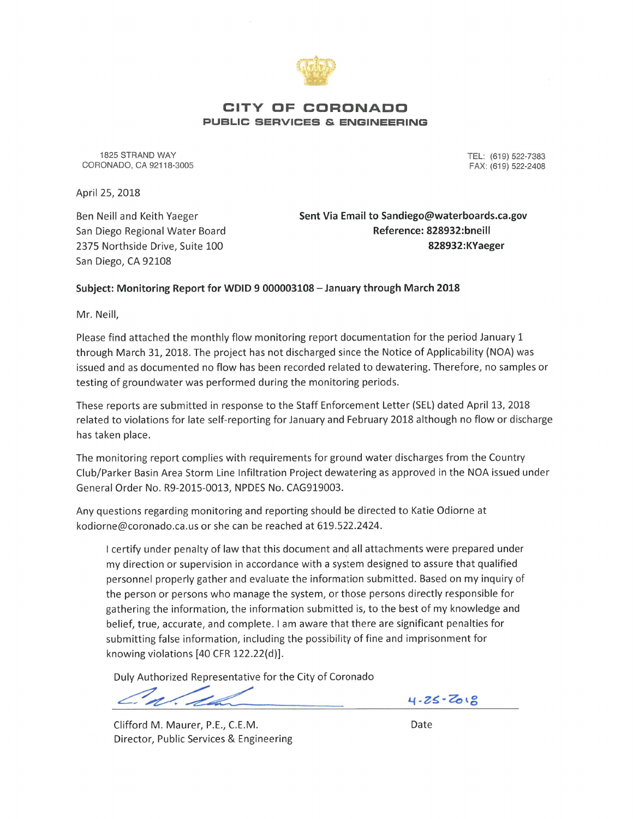

### CITY OF CORONADO PUBLIC SERVICES & ENGINEERING

1825 STRAND WAY CORONADO, CA 92118-3005 TEL: (619) 522-7383 FAX: (619) 522-2408

April 25, 2018

Ben Neill and Keith Yaeger San Diego Regional Water Board 2375 Northside Drive, Suite 100 San Diego, CA 92108

Sent Via Email to Sandiego@waterboards.ca.gov Reference: 828932:bneill 828932:KYaeger

### Subject: Monitoring Report for WDID 9 000003108 - January through March 2018

Mr. Neill,

Please find attached the monthly flow monitoring report documentation for the period January 1 through March 31, 2018. The project has not discharged since the Notice of Applicability (NOA) was issued and as documented no flow has been recorded related to dewatering. Therefore, no samples or testing of groundwater was performed during the monitoring periods.

These reports are submitted in response to the Staff Enforcement Letter (SEL) dated April 13, 2018 related to violations for late self-reporting for January and February 2018 although no flow or discharge has taken place.

The monitoring report complies with requirements for ground water discharges from the Country Club/Parker Basin Area Storm Line Infiltration Project dewatering as approved in the NOA issued under General Order No. R9-2015-0013, NPDES No. CAG919003.

Any questions regarding monitoring and reporting should be directed to Katie Odiorne at kodiorne@coronado.ca.us or she can be reached at 619.522.2424.

I certify under penalty of law that this document and all attachments were prepared under my direction or supervision in accordance with a system designed to assure that qualified personnel properly gather and evaluate the information submitted. Based on my inquiry of the person or persons who manage the system, or those persons directly responsible for gathering the information, the information submitted is, to the best of my knowledge and belief, true, accurate, and complete. I am aware that there are significant penalties for submitting false information, including the possibility of fine and imprisonment for knowing violations [40 CFR 122.22(d)].

Duly Authorized Representative for the City of Coronado

Clifford M. Maurer, P.E., C.E.M. Director, Public Services & Engineering  $4.25 - 7018$ 

Date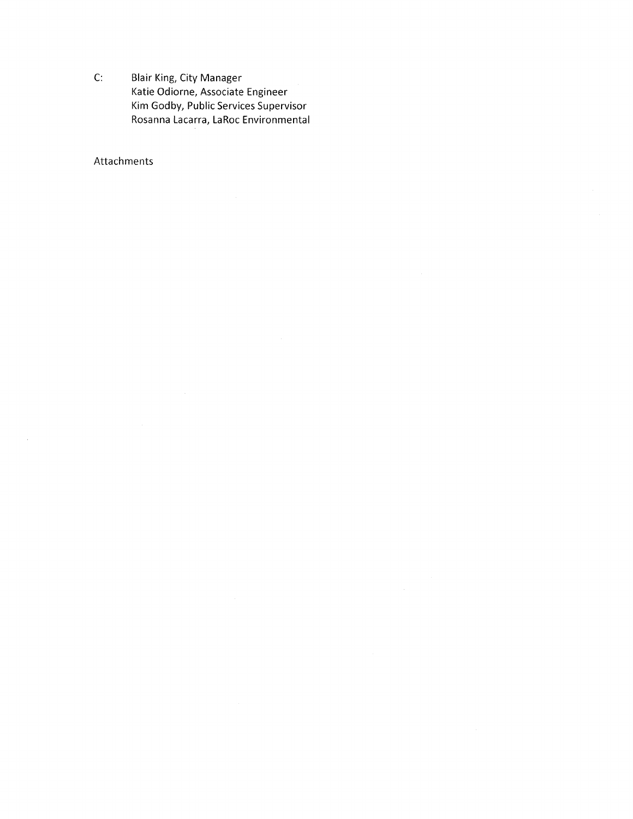C: Blair King, City Manager Katie Odiorne, Associate Engineer Kim Godby, Public Services Supervisor Rosanna Lacarra, LaRoc Environmental

## Attachments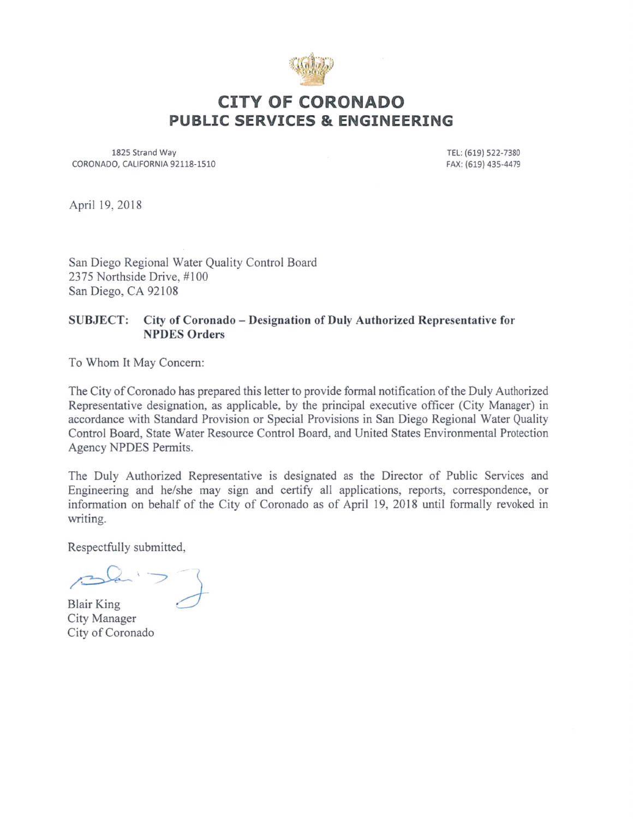

# CITY OF CORONADO PUBLIC SERVICES & ENGINEERING

1825 Strand Way CORONADO, CALIFORNIA 92118-1510

TEL: (619) 522-7380 FAX: (619) 435-4479

April 19,2018

San Diego Regional Water Quality Control Board 2375 Northside Drive, #100 San Diego, CA 92108

## SUBJECT: City of Coronado - Designation of Duly Authorized Representative for NPDES Orders

To Whom It May Concern:

The City of Coronado has prepared this letter to provide formal notification of the Duly Authorized Representative designation, as applicable, by the principal executive officer (City Manager) in accordance with Standard Provision or Special Provisions in San Diego Regional Water Quality Control Board, State Water Resource Control Board, and United States Environmental Protection Agency NPDES Permits.

The Duly Authorized Representative is designated as the Director of Public Services and Engineering and he/she may sign and certify all applications, reports, correspondence, or information on behalf of the City of Coronado as of April 19, 2018 until formally revoked in writing.

Respectfully submitted,

 $\Omega$ -

Blair King City Manager CityofCoronado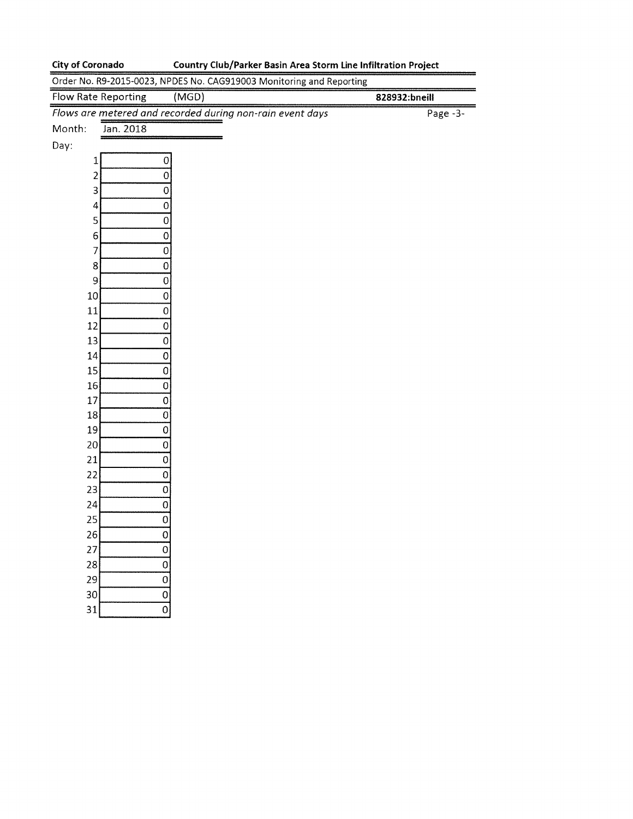31

 $\overline{0}$ 

## City of Coronado Country Club/Parker Basin Area Storm Line Infiltration Project

| Order No. R9-2015-0023, NPDES No. CAG919003 Monitoring and Reporting |               |  |
|----------------------------------------------------------------------|---------------|--|
| <b>Flow Rate Reporting</b><br>(MGD)                                  | 828932:bneill |  |
| Flows are metered and recorded during non-rain event days            | Page $-3$ -   |  |
| Month:<br>Jan. 2018                                                  |               |  |
| Day:                                                                 |               |  |
| $\mathbf 0$<br>$\mathbf{1}$                                          |               |  |
| $\overline{c}$<br>$\mathbf 0$                                        |               |  |
| 3<br>0                                                               |               |  |
| $\mathbf 0$<br>4                                                     |               |  |
| 5<br>$\mathbf 0$                                                     |               |  |
| $\overline{0}$<br>6 <sup>1</sup>                                     |               |  |
| $\overline{7}$<br>$\overline{0}$                                     |               |  |
| $\overline{\text{o}}$<br>8                                           |               |  |
| 9<br>$\mathbf 0$                                                     |               |  |
| 10<br>$\mathbf{O}$                                                   |               |  |
| 11<br>$\mathbf 0$                                                    |               |  |
| 12<br>$\mathbf 0$                                                    |               |  |
| 13<br>$\overline{\text{o}}$                                          |               |  |
| 14<br>$\overline{0}$                                                 |               |  |
| 15<br>$\overline{0}$                                                 |               |  |
| $\mathbf 0$<br>16<br>17                                              |               |  |
| $\mathbf 0$<br>$\overline{0}$                                        |               |  |
| 18<br>19<br>$\mathbf 0$                                              |               |  |
| 20 <sub>1</sub><br>$\overline{O}$                                    |               |  |
| $\overline{0}$<br>21                                                 |               |  |
| 22<br>$\mathbf{O}$                                                   |               |  |
| 23<br>$\mathbf{O}$                                                   |               |  |
| 24<br>$\sigma$                                                       |               |  |
| 25<br>$\mathbf 0$                                                    |               |  |
| 26<br>$\mathbf 0$                                                    |               |  |
| 27<br>$\mathbf 0$                                                    |               |  |
| $\overline{0}$<br>28                                                 |               |  |
| $\overline{0}$<br>29                                                 |               |  |
| 30 <sup>°</sup><br>$\Omega$                                          |               |  |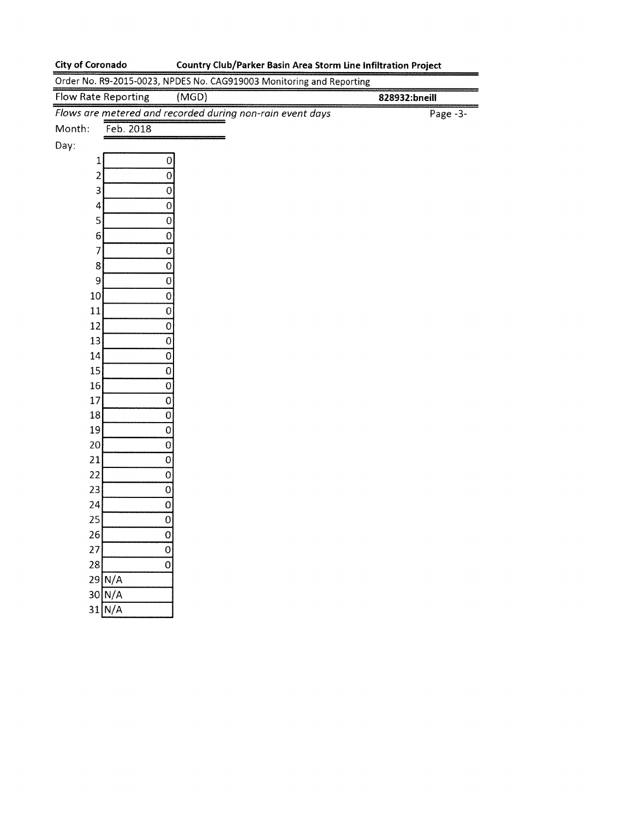18 19 20 21 22 23 24 25 26 27| 28| 291 N/A 30| N/A 31| N/A  $\overline{0}$  $\overline{0}$  $\overline{\overline{o}}$ 01  $\overline{0}$  $\overline{\overline{0}}$  $\overline{0}$  $\overline{0}$  $\overline{0}$  $\overline{0}$  $\overline{0}$ 

## City of Coronado Country Club/Parker Basin Area Storm Line Infiltration Project

Order No. R9-2015-0023, NPDES No. CAG919003 Monitoring and Reporting Flow Rate Reporting (MGD) 828932:bneill Flows are metered and recorded during non-rain event days Month: Feb. 2018 Day:  $\mathbf 1$ Page -3- 2 3 4 5 6 7 8 9 10 11 12 13 14 15 16 17 0  $\overline{0}$  $\overline{0}$  $\overline{0}$ 0  $\overline{0}$  $\overline{0}$ 0  $\overline{0}$ 0  $\overline{0}$  $\overline{0}$  $\overline{0}$  $\overline{0}$  $\overline{0}$ 0  $\overline{0}$